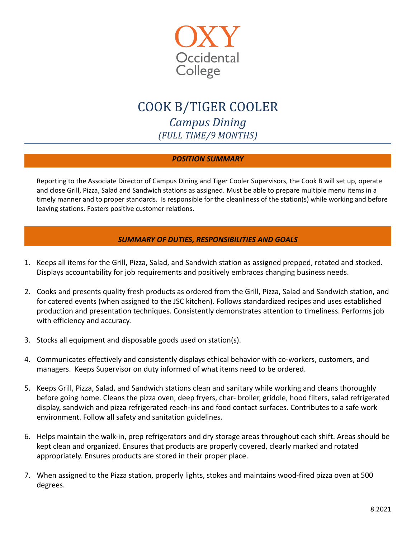

# COOK B/TIGER COOLER *Campus Dining (FULL TIME/9 MONTHS)*

# *POSITION SUMMARY*

Reporting to the Associate Director of Campus Dining and Tiger Cooler Supervisors, the Cook B will set up, operate and close Grill, Pizza, Salad and Sandwich stations as assigned. Must be able to prepare multiple menu items in a timely manner and to proper standards. Is responsible for the cleanliness of the station(s) while working and before leaving stations. Fosters positive customer relations.

# *SUMMARY OF DUTIES, RESPONSIBILITIES AND GOALS*

- 1. Keeps all items for the Grill, Pizza, Salad, and Sandwich station as assigned prepped, rotated and stocked. Displays accountability for job requirements and positively embraces changing business needs.
- 2. Cooks and presents quality fresh products as ordered from the Grill, Pizza, Salad and Sandwich station, and for catered events (when assigned to the JSC kitchen). Follows standardized recipes and uses established production and presentation techniques. Consistently demonstrates attention to timeliness. Performs job with efficiency and accuracy.
- 3. Stocks all equipment and disposable goods used on station(s).
- 4. Communicates effectively and consistently displays ethical behavior with co-workers, customers, and managers. Keeps Supervisor on duty informed of what items need to be ordered.
- 5. Keeps Grill, Pizza, Salad, and Sandwich stations clean and sanitary while working and cleans thoroughly before going home. Cleans the pizza oven, deep fryers, char- broiler, griddle, hood filters, salad refrigerated display, sandwich and pizza refrigerated reach-ins and food contact surfaces. Contributes to a safe work environment. Follow all safety and sanitation guidelines.
- 6. Helps maintain the walk-in, prep refrigerators and dry storage areas throughout each shift. Areas should be kept clean and organized. Ensures that products are properly covered, clearly marked and rotated appropriately. Ensures products are stored in their proper place.
- 7. When assigned to the Pizza station, properly lights, stokes and maintains wood-fired pizza oven at 500 degrees.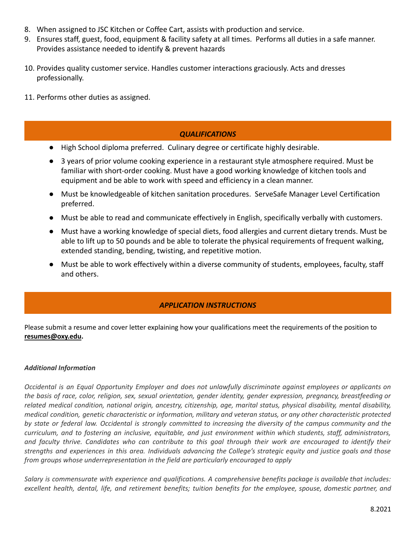- 8. When assigned to JSC Kitchen or Coffee Cart, assists with production and service.
- 9. Ensures staff, guest, food, equipment & facility safety at all times. Performs all duties in a safe manner. Provides assistance needed to identify & prevent hazards
- 10. Provides quality customer service. Handles customer interactions graciously. Acts and dresses professionally.
- 11. Performs other duties as assigned.

#### *QUALIFICATIONS*

- High School diploma preferred. Culinary degree or certificate highly desirable.
- 3 years of prior volume cooking experience in a restaurant style atmosphere required. Must be familiar with short-order cooking. Must have a good working knowledge of kitchen tools and equipment and be able to work with speed and efficiency in a clean manner.
- Must be knowledgeable of kitchen sanitation procedures. ServeSafe Manager Level Certification preferred.
- Must be able to read and communicate effectively in English, specifically verbally with customers.
- Must have a working knowledge of special diets, food allergies and current dietary trends. Must be able to lift up to 50 pounds and be able to tolerate the physical requirements of frequent walking, extended standing, bending, twisting, and repetitive motion.
- Must be able to work effectively within a diverse community of students, employees, faculty, staff and others.

### *APPLICATION INSTRUCTIONS*

Please submit a resume and cover letter explaining how your qualifications meet the requirements of the position to **[resumes@oxy.edu.](mailto:resumes@oxy.edu)**

#### *Additional Information*

Occidental is an Equal Opportunity Employer and does not unlawfully discriminate against employees or applicants on the basis of race, color, religion, sex, sexual orientation, gender identity, gender expression, pregnancy, breastfeeding or related medical condition, national origin, ancestry, citizenship, age, marital status, physical disability, mental disability, medical condition, genetic characteristic or information, military and veteran status, or any other characteristic protected by state or federal law. Occidental is strongly committed to increasing the diversity of the campus community and the curriculum, and to fostering an inclusive, equitable, and just environment within which students, staff, administrators, and faculty thrive. Candidates who can contribute to this goal through their work are encouraged to identify their strengths and experiences in this area. Individuals advancing the College's strategic equity and justice goals and those *from groups whose underrepresentation in the field are particularly encouraged to apply*

*Salary is commensurate with experience and qualifications. A comprehensive benefits package is available that includes:* excellent health, dental, life, and retirement benefits; tuition benefits for the employee, spouse, domestic partner, and